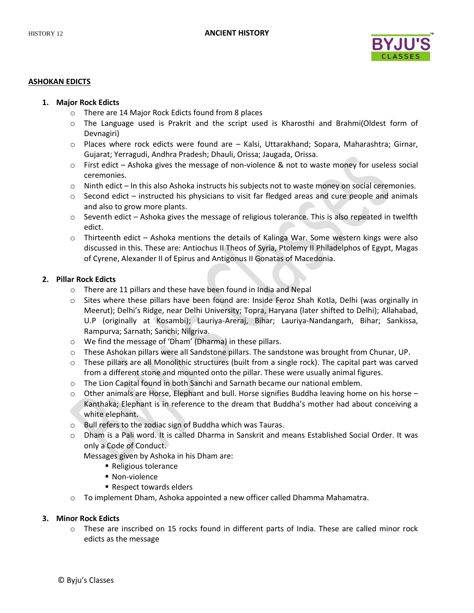

#### **ASHOKAN EDICTS**

#### **1. Major Rock Edicts**

- o There are 14 Major Rock Edicts found from 8 places
- o The Language used is Prakrit and the script used is Kharosthi and Brahmi(Oldest form of Devnagiri)
- o Places where rock edicts were found are Kalsi, Uttarakhand; Sopara, Maharashtra; Girnar, Gujarat; Yerragudi, Andhra Pradesh; Dhauli, Orissa; Jaugada, Orissa.
- o First edict Ashoka gives the message of non-violence & not to waste money for useless social ceremonies.
- o Ninth edict In this also Ashoka instructs his subjects not to waste money on social ceremonies.
- $\circ$  Second edict instructed his physicians to visit far fledged areas and cure people and animals and also to grow more plants.
- $\circ$  Seventh edict Ashoka gives the message of religious tolerance. This is also repeated in twelfth edict.
- o Thirteenth edict Ashoka mentions the details of Kalinga War. Some western kings were also discussed in this. These are: Antiochus II Theos of Syria, Ptolemy II Philadelphos of Egypt, Magas of Cyrene, Alexander II of Epirus and Antigonus II Gonatas of Macedonia.

### **2. Pillar Rock Edicts**

- o There are 11 pillars and these have been found in India and Nepal
- o Sites where these pillars have been found are: Inside Feroz Shah Kotla, Delhi (was orginally in Meerut); Delhi's Ridge, near Delhi University; Topra, Haryana (later shifted to Delhi); Allahabad, U.P (originally at Kosambi); Lauriya-Areraj, Bihar; Lauriya-Nandangarh, Bihar; Sankissa, Rampurva; Sarnath; Sanchi; Nilgriva.
- o We find the message of 'Dham' (Dharma) in these pillars.
- o These Ashokan pillars were all Sandstone pillars. The sandstone was brought from Chunar, UP.
- o These pillars are all Monolithic structures (built from a single rock). The capital part was carved from a different stone and mounted onto the pillar. These were usually animal figures.
- o The Lion Capital found in both Sanchi and Sarnath became our national emblem.
- $\circ$  Other animals are Horse, Elephant and bull. Horse signifies Buddha leaving home on his horse Kanthaka; Elephant is in reference to the dream that Buddha's mother had about conceiving a white elephant.
- o Bull refers to the zodiac sign of Buddha which was Tauras.
- o Dham is a Pali word. It is called Dharma in Sanskrit and means Established Social Order. It was only a Code of Conduct.

Messages given by Ashoka in his Dham are:

- Religious tolerance
- Non-violence
- Respect towards elders
- o To implement Dham, Ashoka appointed a new officer called Dhamma Mahamatra.

## **3. Minor Rock Edicts**

o These are inscribed on 15 rocks found in different parts of India. These are called minor rock edicts as the message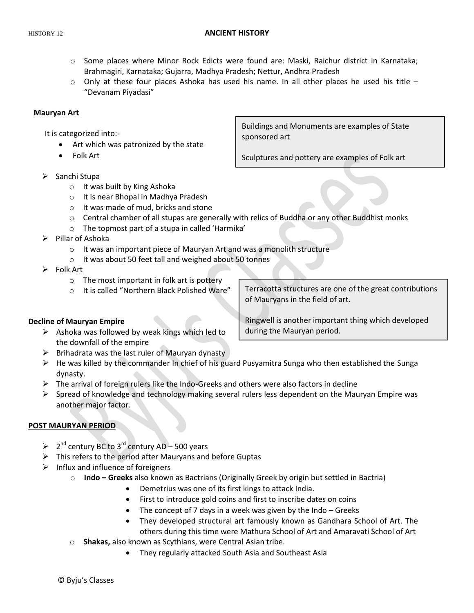#### HISTORY 12 **ANCIENT HISTORY**

- o Some places where Minor Rock Edicts were found are: Maski, Raichur district in Karnataka; Brahmagiri, Karnataka; Gujarra, Madhya Pradesh; Nettur, Andhra Pradesh
- $\circ$  Only at these four places Ashoka has used his name. In all other places he used his title "Devanam Piyadasi"

## **Mauryan Art**

It is categorized into:-

- Art which was patronized by the state
- Folk Art

 $\triangleright$  Sanchi Stupa

- o It was built by King Ashoka
- o It is near Bhopal in Madhya Pradesh
- o It was made of mud, bricks and stone
- $\circ$  Central chamber of all stupas are generally with relics of Buddha or any other Buddhist monks
- o The topmost part of a stupa in called 'Harmika'
- $\triangleright$  Pillar of Ashoka
	- $\circ$  It was an important piece of Mauryan Art and was a monolith structure
	- o It was about 50 feet tall and weighed about 50 tonnes

 $\triangleright$  Folk Art

- o The most important in folk art is pottery
- o It is called "Northern Black Polished Ware"

Terracotta structures are one of the great contributions

of Mauryans in the field of art.

Ringwell is another important thing which developed during the Mauryan period.

## **Decline of Mauryan Empire**

- $\triangleright$  Ashoka was followed by weak kings which led to the downfall of the empire
- $\triangleright$  Brihadrata was the last ruler of Mauryan dynasty
- $\triangleright$  He was killed by the commander In chief of his guard Pusyamitra Sunga who then established the Sunga dynasty.
- $\triangleright$  The arrival of foreign rulers like the Indo-Greeks and others were also factors in decline
- $\triangleright$  Spread of knowledge and technology making several rulers less dependent on the Mauryan Empire was another major factor.

# **POST MAURYAN PERIOD**

- $\triangleright$  2<sup>nd</sup> century BC to 3<sup>rd</sup> century AD 500 years
- $\triangleright$  This refers to the period after Mauryans and before Guptas
- $\triangleright$  Influx and influence of foreigners
	- o **Indo – Greeks** also known as Bactrians (Originally Greek by origin but settled in Bactria)
		- Demetrius was one of its first kings to attack India.
		- First to introduce gold coins and first to inscribe dates on coins
		- The concept of 7 days in a week was given by the Indo Greeks
		- They developed structural art famously known as Gandhara School of Art. The others during this time were Mathura School of Art and Amaravati School of Art
	- o **Shakas,** also known as Scythians, were Central Asian tribe.
		- They regularly attacked South Asia and Southeast Asia

Buildings and Monuments are examples of State sponsored art

Sculptures and pottery are examples of Folk art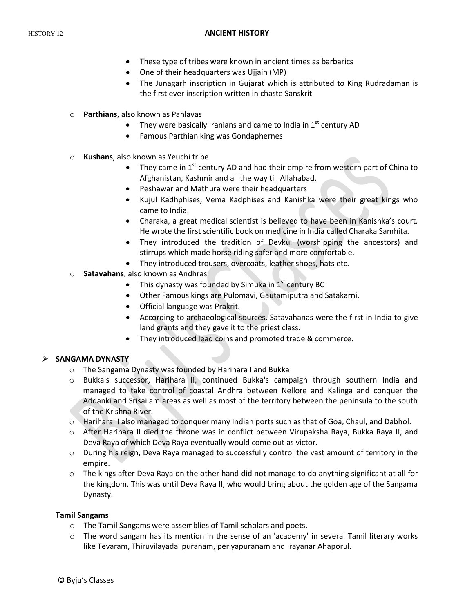#### HISTORY 12 **ANCIENT HISTORY**

- These type of tribes were known in ancient times as barbarics
- One of their headquarters was Ujjain (MP)
- The Junagarh inscription in Gujarat which is attributed to King Rudradaman is the first ever inscription written in chaste Sanskrit
- o **Parthians**, also known as Pahlavas
	- They were basically Iranians and came to India in  $1<sup>st</sup>$  century AD
	- Famous Parthian king was Gondaphernes
- o **Kushans**, also known as Yeuchi tribe
	- They came in  $1^{st}$  century AD and had their empire from western part of China to Afghanistan, Kashmir and all the way till Allahabad.
	- Peshawar and Mathura were their headquarters
	- Kujul Kadhphises, Vema Kadphises and Kanishka were their great kings who came to India.
	- Charaka, a great medical scientist is believed to have been in Kanishka's court. He wrote the first scientific book on medicine in India called Charaka Samhita.
	- They introduced the tradition of Devkul (worshipping the ancestors) and stirrups which made horse riding safer and more comfortable.
	- They introduced trousers, overcoats, leather shoes, hats etc.
- o **Satavahans**, also known as Andhras
	- This dynasty was founded by Simuka in  $1<sup>st</sup>$  century BC
	- Other Famous kings are Pulomavi, Gautamiputra and Satakarni.
	- Official language was Prakrit.
	- According to archaeological sources, Satavahanas were the first in India to give land grants and they gave it to the priest class.
	- They introduced lead coins and promoted trade & commerce.

# **SANGAMA DYNASTY**

- o The Sangama Dynasty was founded by Harihara I and Bukka
- o Bukka's successor, Harihara II, continued Bukka's campaign through southern India and managed to take control of coastal Andhra between Nellore and Kalinga and conquer the Addanki and Srisailam areas as well as most of the territory between the peninsula to the south of the Krishna River.
- o Harihara II also managed to conquer many Indian ports such as that of Goa, Chaul, and Dabhol.
- o After Harihara II died the throne was in conflict between Virupaksha Raya, Bukka Raya II, and Deva Raya of which Deva Raya eventually would come out as victor.
- o During his reign, Deva Raya managed to successfully control the vast amount of territory in the empire.
- $\circ$  The kings after Deva Raya on the other hand did not manage to do anything significant at all for the kingdom. This was until Deva Raya II, who would bring about the golden age of the Sangama Dynasty.

## **Tamil Sangams**

- o The Tamil Sangams were assemblies of Tamil scholars and poets.
- $\circ$  The word sangam has its mention in the sense of an 'academy' in several Tamil literary works like Tevaram, Thiruvilayadal puranam, periyapuranam and Irayanar Ahaporul.